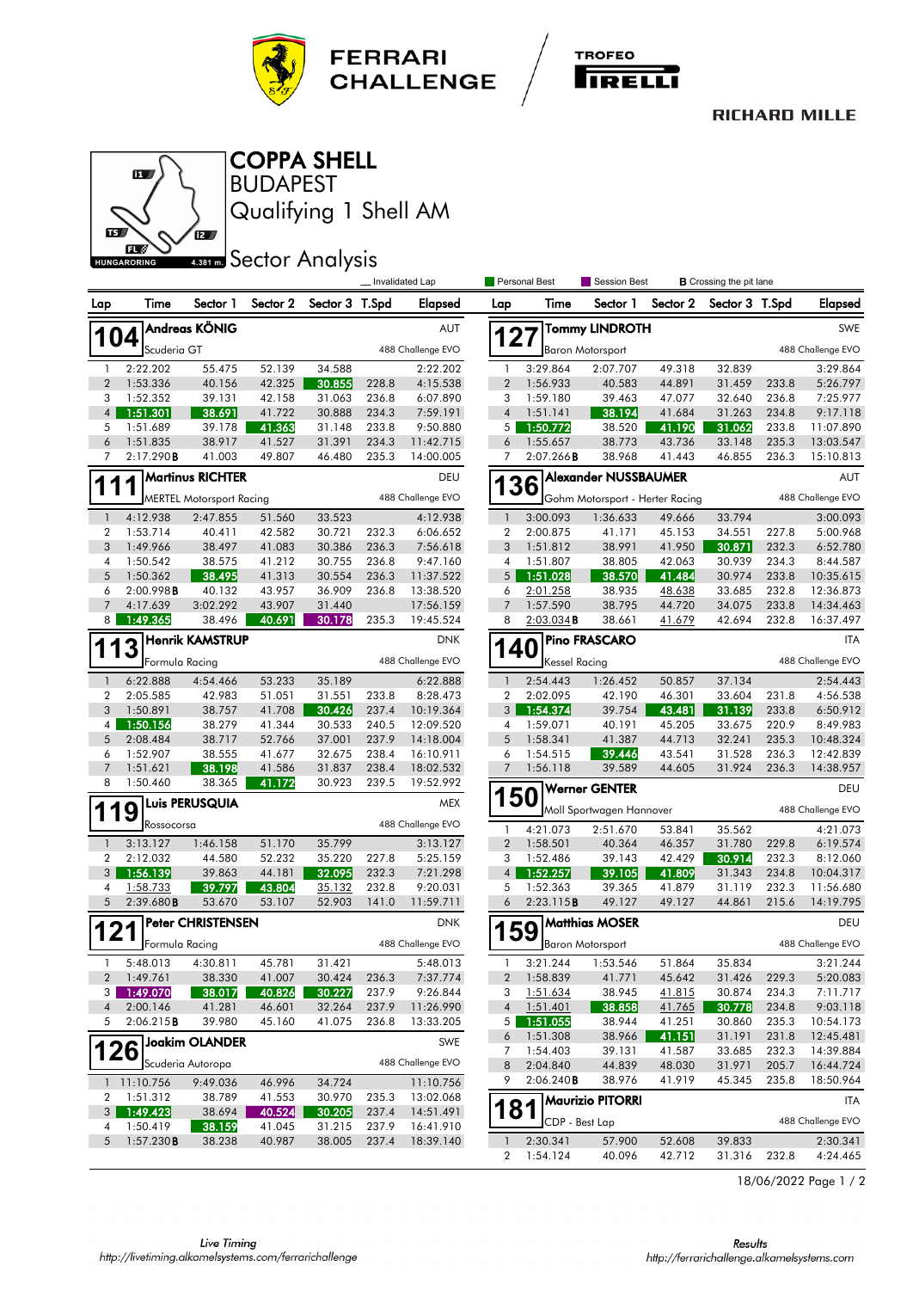



## **RICHARD MILLE**



BUDAPEST COPPA SHELL

Qualifying 1 Shell AM

## **ABBT External Sector Analysis**

|                |                       |                                 |                  |                  |                | Invalidated Lap         |                          | Personal Best        | <b>Session Best</b>             |                  | <b>B</b> Crossing the pit lane |                |                       |
|----------------|-----------------------|---------------------------------|------------------|------------------|----------------|-------------------------|--------------------------|----------------------|---------------------------------|------------------|--------------------------------|----------------|-----------------------|
| Lap            | Time                  | Sector 1                        | Sector 2         | Sector 3 T.Spd   |                | Elapsed                 | Lap                      | Time                 | Sector 1                        | Sector 2         | Sector 3 T.Spd                 |                | <b>Elapsed</b>        |
|                |                       | Andreas KÖNIG                   |                  |                  |                | AUT                     |                          |                      | <b>Tommy LINDROTH</b>           |                  |                                |                | SWE                   |
|                | 04<br>Scuderia GT     |                                 |                  |                  |                | 488 Challenge EVO       |                          | 27                   | <b>Baron Motorsport</b>         |                  |                                |                | 488 Challenge EVO     |
| -1             | 2:22.202              | 55.475                          | 52.139           | 34.588           |                | 2:22.202                | 1                        | 3:29.864             | 2:07.707                        | 49.318           | 32.839                         |                | 3:29.864              |
| $\overline{2}$ | 1:53.336              | 40.156                          | 42.325           | 30.855           | 228.8          | 4:15.538                | $\overline{2}$           | 1:56.933             | 40.583                          | 44.891           | 31.459                         | 233.8          | 5:26.797              |
| 3              | 1:52.352              | 39.131                          | 42.158           | 31.063           | 236.8          | 6:07.890                | 3                        | 1:59.180             | 39.463                          | 47.077           | 32.640                         | 236.8          | 7:25.977              |
| $\overline{4}$ | 1:51.301              | 38.691                          | 41.722           | 30.888           | 234.3          | 7:59.191                | $\overline{4}$           | 1:51.141             | 38.194                          | 41.684           | 31.263                         | 234.8          | 9:17.118              |
| 5              | 1:51.689              | 39.178                          | 41.363           | 31.148           | 233.8          | 9:50.880                | 5                        | 1:50.772             | 38.520                          | 41.190           | 31.062                         | 233.8          | 11:07.890             |
| 6              | 1:51.835              | 38.917                          | 41.527           | 31.391           | 234.3          | 11:42.715               | 6                        | 1:55.657             | 38.773                          | 43.736           | 33.148                         | 235.3          | 13:03.547             |
| 7              | 2:17.290B             | 41.003                          | 49.807           | 46.480           | 235.3          | 14:00.005               | 7                        | $2:07.266$ B         | 38.968                          | 41.443           | 46.855                         | 236.3          | 15:10.813             |
|                |                       | <b>Martinus RICHTER</b>         |                  |                  |                | DEU                     |                          | 36                   | <b>Alexander NUSSBAUMER</b>     |                  |                                |                | AUT                   |
|                |                       | <b>MERTEL Motorsport Racing</b> |                  |                  |                | 488 Challenge EVO       |                          |                      | Gohm Motorsport - Herter Racing |                  |                                |                | 488 Challenge EVO     |
| $\overline{1}$ | 4:12.938              | 2:47.855                        | 51.560           | 33.523           |                | 4:12.938                | $\overline{\phantom{a}}$ | 3:00.093             | 1:36.633                        | 49.666           | 33.794                         |                | 3:00.093              |
| $\overline{2}$ | 1:53.714              | 40.411                          | 42.582           | 30.721           | 232.3          | 6:06.652                | $\boldsymbol{2}$         | 2:00.875             | 41.171                          | 45.153           | 34.551                         | 227.8          | 5:00.968              |
| 3              | 1:49.966              | 38.497                          | 41.083           | 30.386           | 236.3          | 7:56.618                | 3                        | 1:51.812             | 38.991                          | 41.950           | 30.871                         | 232.3          | 6:52.780              |
| 4<br>5         | 1:50.542<br>1:50.362  | 38.575                          | 41.212<br>41.313 | 30.755<br>30.554 | 236.8<br>236.3 | 9:47.160<br>11:37.522   | 4<br>5                   | 1:51.807<br>1:51.028 | 38.805                          | 42.063           | 30.939<br>30.974               | 234.3<br>233.8 | 8:44.587<br>10:35.615 |
| 6              | 2:00.998B             | 38.495<br>40.132                | 43.957           | 36.909           | 236.8          | 13:38.520               | 6                        | 2:01.258             | 38.570<br>38.935                | 41.484<br>48.638 | 33.685                         | 232.8          | 12:36.873             |
| 7              | 4:17.639              | 3:02.292                        | 43.907           | 31.440           |                | 17:56.159               | 7                        | 1:57.590             | 38.795                          | 44.720           | 34.075                         | 233.8          | 14:34.463             |
| 8              | 1:49.365              | 38.496                          | 40.691           | 30.178           | 235.3          | 19:45.524               | 8                        | $2:03.034$ B         | 38.661                          | 41.679           | 42.694                         | 232.8          | 16:37.497             |
|                |                       | <b>Henrik KAMSTRUP</b>          |                  |                  |                | <b>DNK</b>              |                          |                      | <b>Pino FRASCARO</b>            |                  |                                |                | <b>ITA</b>            |
|                | Formula Racing        |                                 |                  |                  |                | 488 Challenge EVO       | <b>140</b>               | <b>Kessel Racing</b> |                                 |                  |                                |                | 488 Challenge EVO     |
| $\overline{1}$ | 6:22.888              | 4:54.466                        | 53.233           | 35.189           |                | 6:22.888                | $\overline{1}$           | 2:54.443             | 1:26.452                        | 50.857           | 37.134                         |                | 2:54.443              |
| $\overline{2}$ | 2:05.585              | 42.983                          | 51.051           | 31.551           | 233.8          | 8:28.473                | $\overline{2}$           | 2:02.095             | 42.190                          | 46.301           | 33.604                         | 231.8          | 4:56.538              |
| 3              | 1:50.891              | 38.757                          | 41.708           | 30.426           | 237.4          | 10:19.364               | 3                        | 1:54.374             | 39.754                          | 43.481           | 31.139                         | 233.8          | 6:50.912              |
| 4              | 1:50.156              | 38.279                          | 41.344           | 30.533           | 240.5          | 12:09.520               | 4                        | 1:59.071             | 40.191                          | 45.205           | 33.675                         | 220.9          | 8:49.983              |
| 5              | 2:08.484              | 38.717                          | 52.766           | 37.001           | 237.9          | 14:18.004               | 5                        | 1:58.341             | 41.387                          | 44.713           | 32.241                         | 235.3          | 10:48.324             |
| 6              | 1:52.907              | 38.555                          | 41.677           | 32.675           | 238.4          | 16:10.911               | 6                        | 1:54.515             | 39.446                          | 43.541           | 31.528                         | 236.3          | 12:42.839             |
| $\overline{7}$ | 1:51.621              | 38.198                          | 41.586           | 31.837           | 238.4          | 18:02.532               | 7                        | 1:56.118             | 39.589                          | 44.605           | 31.924                         | 236.3          | 14:38.957             |
| 8              | 1:50.460              | 38.365<br>Luis PERUSQUIA        | 41.172           | 30.923           | 239.5          | 19:52.992<br><b>MEX</b> | <b>150</b>               |                      | <b>Werner GENTER</b>            |                  |                                |                | DEU                   |
|                | 9                     |                                 |                  |                  |                |                         |                          |                      | Moll Sportwagen Hannover        |                  |                                |                | 488 Challenge EVO     |
|                | Rossocorsa            |                                 |                  |                  |                | 488 Challenge EVO       | $\mathbf{1}$             | 4:21.073             | 2:51.670                        | 53.841           | 35.562                         |                | 4:21.073              |
| $\overline{1}$ | 3:13.127              | 1:46.158                        | 51.170           | 35.799           |                | 3:13.127                | $\overline{2}$           | 1:58.501             | 40.364                          | 46.357           | 31.780                         | 229.8          | 6:19.574              |
| $\overline{2}$ | 2:12.032              | 44.580                          | 52.232           | 35.220           | 227.8          | 5:25.159                | 3                        | 1:52.486             | 39.143                          | 42.429           | 30.914                         | 232.3          | 8:12.060              |
| 3              | 1:56.139              | 39.863                          | 44.181           | 32.095           | 232.3          | 7:21.298                | $\overline{4}$           | 1:52.257             | 39.105                          | 41.809           | 31.343                         | 234.8          | 10:04.317             |
| 4              | 1:58.733              | 39.797                          | 43.804           | 35.132           | 232.8          | 9:20.031                | 5                        | 1:52.363             | 39.365                          | 41.879           | 31.119                         | 232.3          | 11:56.680             |
| 5              | 2:39.680B             | 53.670                          | 53.107           | 52.903           | 141.0          | 11:59.711               | 6                        | 2:23.115B            | 49.127                          | 49.127           | 44.861                         | 215.6          | 14:19.795             |
| 2              |                       | <b>Peter CHRISTENSEN</b>        |                  |                  |                | <b>DNK</b>              |                          | 59                   | <b>Matthias MOSER</b>           |                  |                                |                | DEU                   |
|                | Formula Racing        |                                 |                  |                  |                | 488 Challenge EVO       |                          |                      | <b>Baron Motorsport</b>         |                  |                                |                | 488 Challenge EVO     |
| 1              | 5:48.013              | 4:30.811                        | 45.781           | 31.421           |                | 5:48.013                | $\mathbf{1}$             | 3:21.244             | 1:53.546                        | 51.864           | 35.834                         |                | 3:21.244              |
| $\overline{2}$ | 1:49.761              | 38.330                          | 41.007           | 30.424           | 236.3          | 7:37.774                | $\boldsymbol{2}$         | 1:58.839             | 41.771                          | 45.642           | 31.426                         | 229.3          | 5:20.083              |
| 3              | 1:49.070              | 38.017                          | 40.826           | 30.227           | 237.9          | 9:26.844                | 3                        | 1:51.634             | 38.945                          | 41.815           | 30.874                         | 234.3          | 7:11.717              |
| 4<br>5         | 2:00.146<br>2:06.215B | 41.281<br>39.980                | 46.601<br>45.160 | 32.264<br>41.075 | 237.9<br>236.8 | 11:26.990<br>13:33.205  | $\overline{4}$<br>5      | 1:51.401<br>1:51.055 | 38.858<br>38.944                | 41.765<br>41.251 | 30.778<br>30.860               | 234.8<br>235.3 | 9:03.118<br>10:54.173 |
|                |                       |                                 |                  |                  |                |                         | 6                        | 1:51.308             | 38.966                          | 41.151           | 31.191                         | 231.8          | 12:45.481             |
|                | 26                    | ]Joakim OLANDER                 |                  |                  |                | SWE                     | 7                        | 1:54.403             | 39.131                          | 41.587           | 33.685                         | 232.3          | 14:39.884             |
|                |                       | Scuderia Autoropa               |                  |                  |                | 488 Challenge EVO       | 8                        | 2:04.840             | 44.839                          | 48.030           | 31.971                         | 205.7          | 16:44.724             |
|                | 1 11:10.756           | 9:49.036                        | 46.996           | 34.724           |                | 11:10.756               | 9                        | 2:06.240B            | 38.976                          | 41.919           | 45.345                         | 235.8          | 18:50.964             |
| 2              | 1:51.312              | 38.789                          | 41.553           | 30.970           | 235.3          | 13:02.068               |                          |                      | <b>Maurizio PITORRI</b>         |                  |                                |                | ITA                   |
| 3              | 1:49.423              | 38.694                          | 40.524           | 30.205           | 237.4          | 14:51.491               | 181                      |                      |                                 |                  |                                |                |                       |
| 4              | 1:50.419              | 38.159                          | 41.045           | 31.215           | 237.9          | 16:41.910               |                          | CDP - Best Lap       |                                 |                  |                                |                | 488 Challenge EVO     |
| 5              | 1:57.230B             | 38.238                          | 40.987           | 38.005           | 237.4          | 18:39.140               | $\mathbf{1}$             | 2:30.341             | 57.900                          | 52.608           | 39.833                         |                | 2:30.341              |
|                |                       |                                 |                  |                  |                |                         | $\overline{2}$           | 1:54.124             | 40.096                          | 42.712           |                                | 31.316 232.8   | 4:24.465              |

18/06/2022 Page 1 / 2